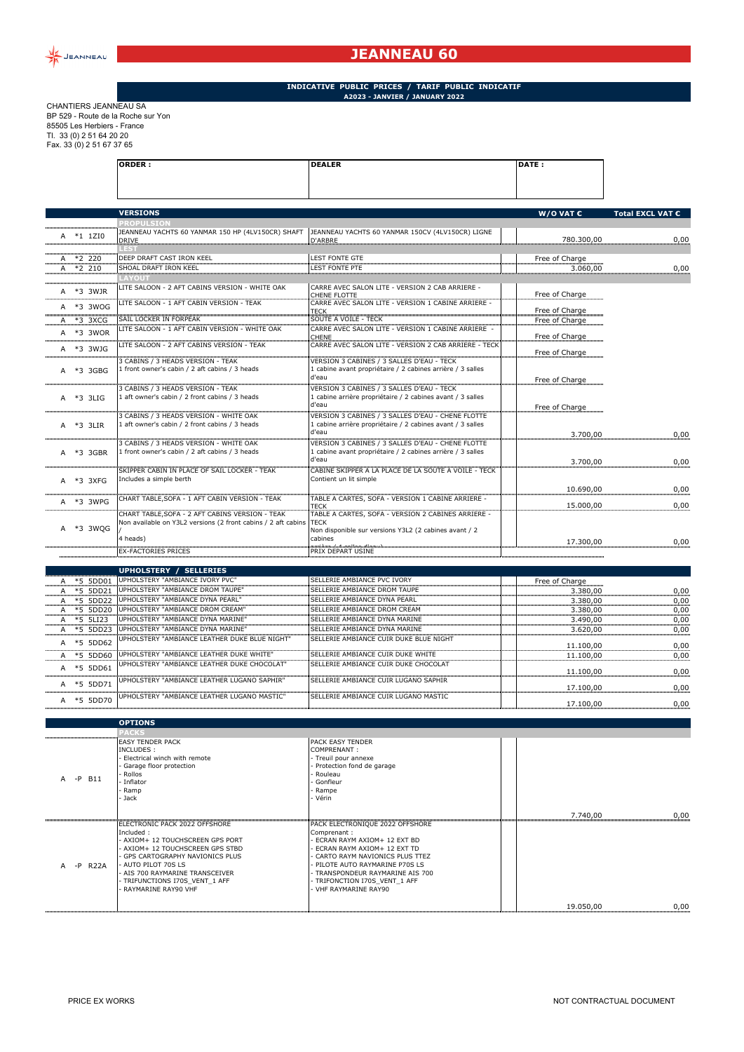

## **JEANNEAU 60**

**ORDER : DEALER DATE :**

## **INDICATIVE PUBLIC PRICES / TARIF PUBLIC INDICATIF A2023 - JANVIER / JANUARY 2022**

CHANTIERS JEANNEAU SA BP 529 - Route de la Roche sur Yon 85505 Les Herbiers - France Tl. 33 (0) 2 51 64 20 20 Fax. 33 (0) 2 51 67 37 65

|                                             | <b>VERSIONS</b>                                                                          |                                                                                                                 | W/O VAT $\epsilon$               | Total EXCL VAT € |
|---------------------------------------------|------------------------------------------------------------------------------------------|-----------------------------------------------------------------------------------------------------------------|----------------------------------|------------------|
|                                             | <b>ROPULSION</b>                                                                         |                                                                                                                 |                                  |                  |
| A *1 1ZI0                                   | JEANNEAU YACHTS 60 YANMAR 150 HP (4LV150CR) SHAFT<br><b>DRIVE</b><br>.EST                | JEANNEAU YACHTS 60 YANMAR 150CV (4LV150CR) LIGNE<br>D'ARBRE                                                     | 780.300,00                       | 0,00             |
| $A *2 220$<br>$A *2 210$                    | DEEP DRAFT CAST IRON KEEL<br>SHOAL DRAFT IRON KEEL                                       | <b>LEST FONTE GTE</b><br><b>LEST FONTE PTE</b>                                                                  | Free of Charge<br>3.060,00       | 0,00             |
|                                             | <b>AYOUT</b>                                                                             |                                                                                                                 |                                  |                  |
| A *3 3WJR                                   | LITE SALOON - 2 AFT CABINS VERSION - WHITE OAK                                           | CARRE AVEC SALON LITE - VERSION 2 CAB ARRIERE<br>CHENE FLOTTE                                                   | Free of Charge                   |                  |
| ,,,,,,,,,,,,,,,,,,,,,<br>A *3 3WOG          | LITE SALOON - 1 AFT CABIN VERSION - TEAK                                                 | CARRE AVEC SALON LITE - VERSION 1 CABINE ARRIERE -                                                              | Free of Charge                   |                  |
| A *3 3XCG                                   | SAIL LOCKER IN FORPEAK                                                                   | TECK<br>SOUTE A VOILE - TECK                                                                                    | Free of Charge                   |                  |
| A *3 3WOR                                   | LITE SALOON - 1 AFT CABIN VERSION - WHITE OAK                                            | CARRE AVEC SALON LITE - VERSION 1 CABINE ARRIERE                                                                |                                  |                  |
| A *3 3WJG                                   | LITE SALOON - 2 AFT CABINS VERSION - TEAK                                                | CHENE<br>CARRE AVEC SALON LITE - VERSION 2 CAB ARRIERE - TECK                                                   | Free of Charge<br>Free of Charge |                  |
|                                             | 3 CABINS / 3 HEADS VERSION - TEAK                                                        | <b>VERSION 3 CABINES / 3 SALLES D'EAU - TECK</b>                                                                |                                  |                  |
| A *3 3GBG                                   | 1 front owner's cabin / 2 aft cabins / 3 heads                                           | 1 cabine avant propriétaire / 2 cabines arrière / 3 salles<br>d'eau                                             | Free of Charge                   |                  |
| A *3 3LIG                                   | 3 CABINS / 3 HEADS VERSION - TEAK<br>1 aft owner's cabin / 2 front cabins / 3 heads      | VERSION 3 CABINES / 3 SALLES D'EAU - TECK<br>1 cabine arrière propriétaire / 2 cabines avant / 3 salles         |                                  |                  |
|                                             |                                                                                          | d'eau                                                                                                           | Free of Charge                   |                  |
| A *3 3LIR                                   | 3 CABINS / 3 HEADS VERSION - WHITE OAK<br>1 aft owner's cabin / 2 front cabins / 3 heads | VERSION 3 CABINES / 3 SALLES D'EAU - CHENE FLOTTE<br>1 cabine arrière propriétaire / 2 cabines avant / 3 salles |                                  |                  |
|                                             |                                                                                          | d'eau                                                                                                           | 3.700,00                         | 0,00             |
| A *3 3GBR                                   | 3 CABINS / 3 HEADS VERSION - WHITE OAK<br>1 front owner's cabin / 2 aft cabins / 3 heads | VERSION 3 CABINES / 3 SALLES D'EAU - CHENE FLOTTE<br>1 cabine avant propriétaire / 2 cabines arrière / 3 salles |                                  |                  |
|                                             | SKIPPER CABIN IN PLACE OF SAIL LOCKER - TEAK                                             | d'eau<br>CABINE SKIPPER A LA PLACE DE LA SOUTE A VOILE - TECK                                                   | 3.700.00                         | 0,00             |
| A *3 3XFG                                   | Includes a simple berth                                                                  | Contient un lit simple                                                                                          | 10.690,00                        | 0,00             |
| A *3 3WPG                                   | CHART TABLE, SOFA - 1 AFT CABIN VERSION - TEAK                                           | TABLE A CARTES, SOFA - VERSION 1 CABINE ARRIERE -                                                               |                                  |                  |
|                                             | CHART TABLE, SOFA - 2 AFT CABINS VERSION - TEAK                                          | TECK<br>TABLE A CARTES, SOFA - VERSION 2 CABINES ARRIERE -                                                      | 15.000,00                        | 0,00             |
| A *3 3WQG                                   | Non available on Y3L2 versions (2 front cabins / 2 aft cabins                            | <b>TECK</b><br>Non disponible sur versions Y3L2 (2 cabines avant / 2                                            |                                  |                  |
|                                             | 4 heads)                                                                                 | cabines                                                                                                         | 17.300,00                        | 0,00             |
|                                             | <b>EX-FACTORIES PRICES</b>                                                               | multimedatum/home/flor<br>PRIX DEPART USINE                                                                     |                                  |                  |
|                                             | <b>UPHOLSTERY / SELLERIES</b>                                                            |                                                                                                                 |                                  |                  |
| *5 5DD01<br>Α                               | UPHOLSTERY "AMBIANCE IVORY PVC"                                                          | SELLERIE AMBIANCE PVC IVORY                                                                                     | Free of Charge                   |                  |
| *5 5DD21                                    | UPHOLSTERY "AMBIANCE DROM TAUPE"                                                         | SELLERIE AMBIANCE DROM TAUPE                                                                                    | 3.380,00                         | 0,00             |
| *5 5DD22<br>A                               | UPHOLSTERY "AMBIANCE DYNA PEARL"<br>UPHOLSTERY "AMBIANCE DROM CREAM"                     | SELLERIE AMBIANCE DYNA PEARL<br>SELLERIE AMBIANCE DROM CREAM                                                    | 3.380,00                         | 0,00             |
| *5 5DD20<br>A *5 5LI23                      | UPHOLSTERY "AMBIANCE DYNA MARINE"                                                        | SELLERIE AMBIANCE DYNA MARINE                                                                                   | 3.380,00<br>3.490,00             | 0,00<br>0,00     |
| A *5 5DD23                                  | UPHOLSTERY "AMBIANCE DYNA MARINE"                                                        | SELLERIE AMBIANCE DYNA MARINE                                                                                   | 3.620,00                         | 0,00             |
| A *5 5DD62                                  | UPHOLSTERY "AMBIANCE LEATHER DUKE BLUE NIGHT"                                            | SELLERIE AMBIANCE CUIR DUKE BLUE NIGHT                                                                          | 11.100,00                        | 0,00             |
| A *5 5DD60                                  | UPHOLSTERY "AMBIANCE LEATHER DUKE WHITE"                                                 | SELLERIE AMBIANCE CUIR DUKE WHITE                                                                               | 11.100,00                        | 0,00             |
| A *5 5DD61                                  | UPHOLSTERY "AMBIANCE LEATHER DUKE CHOCOLAT"                                              | SELLERIE AMBIANCE CUIR DUKE CHOCOLAT                                                                            |                                  |                  |
|                                             | UPHOLSTERY "AMBIANCE LEATHER LUGANO SAPHIR"                                              | SELLERIE AMBIANCE CUIR LUGANO SAPHIR                                                                            | 11.100,00                        | 0,00             |
| A *5 5DD71<br>,,,,,,,,,,,,,,,,,,,,,,,,,,,,, | UPHOLSTERY "AMBIANCE LEATHER LUGANO MASTIC"                                              | SELLERIE AMBIANCE CUIR LUGANO MASTIC                                                                            | 17.100,00                        | 0,00             |
| A *5 5DD70                                  |                                                                                          |                                                                                                                 | 17.100,00                        | 0,00             |
|                                             | <b>OPTIONS</b>                                                                           |                                                                                                                 |                                  |                  |
|                                             |                                                                                          |                                                                                                                 |                                  |                  |
|                                             | EASY TENDER PACK<br>INCLUDES :                                                           | PACK EASY TENDER<br>COMPRENANT:                                                                                 |                                  |                  |
|                                             | Electrical winch with remote                                                             | Treuil pour annexe                                                                                              |                                  |                  |
|                                             | Garage floor protection<br>Rollos                                                        | Protection fond de garage<br>Rouleau                                                                            |                                  |                  |
| $-P$ B11                                    | Inflator                                                                                 | Gonfleur                                                                                                        |                                  |                  |
|                                             | Ramp<br>Jack ·                                                                           | Rampe<br>· Vérin                                                                                                |                                  |                  |
|                                             |                                                                                          |                                                                                                                 |                                  |                  |
|                                             | ELECTRONIC PACK 2022 OFFSHORE                                                            | PACK ELECTRONIQUE 2022 OFFSHORE                                                                                 | 7.740,00                         | 0,00             |
|                                             | Included:                                                                                | Comprenant:                                                                                                     |                                  |                  |
|                                             | AXIOM+ 12 TOUCHSCREEN GPS PORT                                                           | ECRAN RAYM AXIOM+ 12 EXT BD                                                                                     |                                  |                  |
|                                             | AXIOM+ 12 TOUCHSCREEN GPS STBD<br>GPS CARTOGRAPHY NAVIONICS PLUS                         | ECRAN RAYM AXIOM+ 12 EXT TD<br>CARTO RAYM NAVIONICS PLUS TTEZ                                                   |                                  |                  |
| -P R22A<br>A                                | AUTO PILOT 70S LS                                                                        | PILOTE AUTO RAYMARINE P70S LS                                                                                   |                                  |                  |
|                                             | AIS 700 RAYMARINE TRANSCEIVER<br>TRIFUNCTIONS I70S_VENT_1 AFF                            | TRANSPONDEUR RAYMARINE AIS 700<br>TRIFONCTION I70S_VENT_1 AFF                                                   |                                  |                  |
|                                             | RAYMARINE RAY90 VHF                                                                      | VHF RAYMARINE RAY90                                                                                             |                                  |                  |

......................

19.050,00 0,00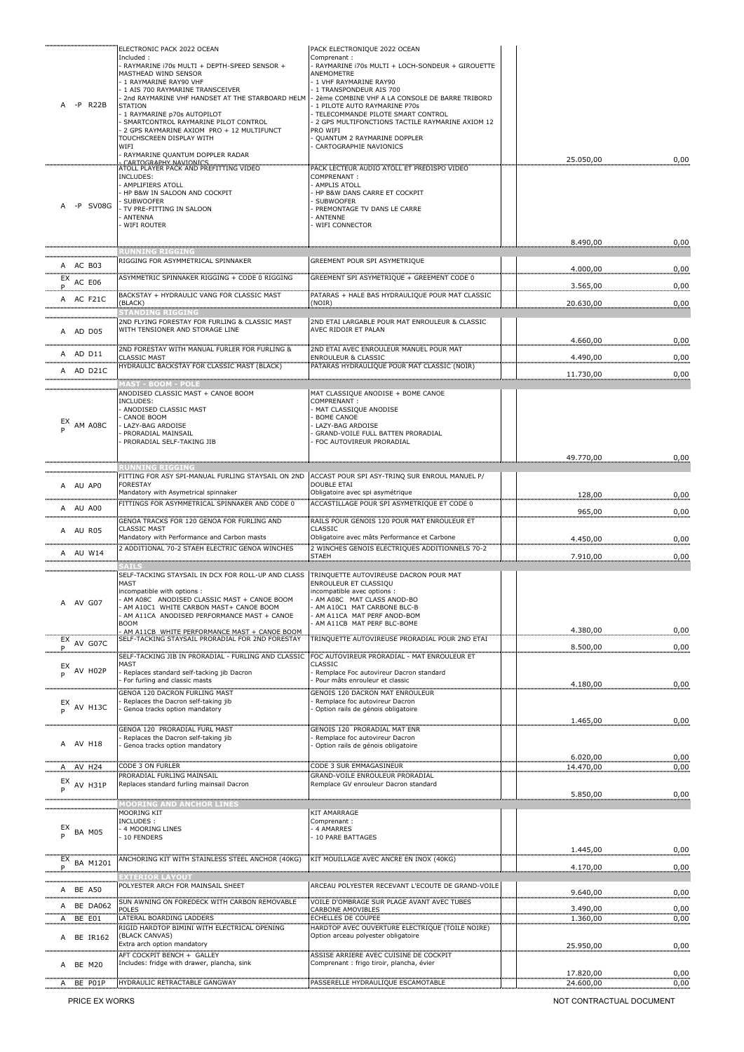| $-P$ R22B                               | ELECTRONIC PACK 2022 OCEAN<br>Included:<br>RAYMARINE i70s MULTI + DEPTH-SPEED SENSOR +<br>MASTHEAD WIND SENSOR<br>1 RAYMARINE RAY90 VHF<br>1 AIS 700 RAYMARINE TRANSCEIVER<br>2nd RAYMARINE VHF HANDSET AT THE STARBOARD HELM<br><b>STATION</b><br>1 RAYMARINE p70s AUTOPILOT<br>SMARTCONTROL RAYMARINE PILOT CONTROL<br>2 GPS RAYMARINE AXIOM PRO + 12 MULTIFUNCT<br>TOUCHSCREEN DISPLAY WITH<br>WIFI<br>RAYMARINE QUANTUM DOPPLER RADAR | PACK ELECTRONIQUE 2022 OCEAN<br>Comprenant:<br>RAYMARINE 170s MULTI + LOCH-SONDEUR + GIROUETTE<br>ANEMOMETRE<br>1 VHF RAYMARINE RAY90<br>1 TRANSPONDEUR AIS 700<br>2ème COMBINE VHF A LA CONSOLE DE BARRE TRIBORD<br>1 PILOTE AUTO RAYMARINE P70s<br>TELECOMMANDE PILOTE SMART CONTROL<br>2 GPS MULTIFONCTIONS TACTILE RAYMARINE AXIOM 12<br>PRO WIFI<br>QUANTUM 2 RAYMARINE DOPPLER<br>CARTOGRAPHIE NAVIONICS | 25.050,00 | 0,00 |
|-----------------------------------------|-------------------------------------------------------------------------------------------------------------------------------------------------------------------------------------------------------------------------------------------------------------------------------------------------------------------------------------------------------------------------------------------------------------------------------------------|----------------------------------------------------------------------------------------------------------------------------------------------------------------------------------------------------------------------------------------------------------------------------------------------------------------------------------------------------------------------------------------------------------------|-----------|------|
| -P SV08G                                | INCLUDES:<br>AMPLIFIERS ATOLL<br>HP B&W IN SALOON AND COCKPIT<br><b>SUBWOOFER</b><br>TV PRE-FITTING IN SALOON<br><b>ANTENNA</b><br><b>WIFI ROUTER</b>                                                                                                                                                                                                                                                                                     | PACK LECTEUR AUDIO ATOLL ET PREDISPO VIDEO<br>COMPRENANT:<br>AMPLIS ATOLL<br>HP B&W DANS CARRE ET COCKPIT<br><b>SUBWOOFER</b><br>PREMONTAGE TV DANS LE CARRE<br>ANTENNE<br>WIFI CONNECTOR                                                                                                                                                                                                                      | 8.490,00  | 0,00 |
| A AC B03                                | <b>UNNING RIGGING</b><br>RIGGING FOR ASYMMETRICAL SPINNAKER                                                                                                                                                                                                                                                                                                                                                                               | GREEMENT POUR SPI ASYMETRIQUE                                                                                                                                                                                                                                                                                                                                                                                  |           |      |
| EX<br>AC E06                            | ASYMMETRIC SPINNAKER RIGGING + CODE 0 RIGGING                                                                                                                                                                                                                                                                                                                                                                                             | GREEMENT SPI ASYMETRIQUE + GREEMENT CODE 0                                                                                                                                                                                                                                                                                                                                                                     | 4.000,00  | 0,00 |
| P.,<br>A AC F21C                        | BACKSTAY + HYDRAULIC VANG FOR CLASSIC MAST                                                                                                                                                                                                                                                                                                                                                                                                | PATARAS + HALE BAS HYDRAULIOUE POUR MAT CLASSIC                                                                                                                                                                                                                                                                                                                                                                | 3.565,00  | 0,00 |
|                                         | (BLACK)<br><b>FANDING RIGGING</b>                                                                                                                                                                                                                                                                                                                                                                                                         | (NOIR)                                                                                                                                                                                                                                                                                                                                                                                                         | 20.630,00 | 0,00 |
| A AD D05                                | 2ND FLYING FORESTAY FOR FURLING & CLASSIC MAST<br>WITH TENSIONER AND STORAGE LINE                                                                                                                                                                                                                                                                                                                                                         | 2ND ETAI LARGABLE POUR MAT ENROULEUR & CLASSIC<br>AVEC RIDOIR ET PALAN                                                                                                                                                                                                                                                                                                                                         | 4.660,00  | 0,00 |
| A AD D11                                | 2ND FORESTAY WITH MANUAL FURLER FOR FURLING &<br><b>CLASSIC MAST</b>                                                                                                                                                                                                                                                                                                                                                                      | 2ND ETAI AVEC ENROULEUR MANUEL POUR MAT<br>ENROULEUR & CLASSIC                                                                                                                                                                                                                                                                                                                                                 | 4.490,00  | 0,00 |
| A AD D21C                               | HYDRAULIC BACKSTAY FOR CLASSIC MAST (BLACK)                                                                                                                                                                                                                                                                                                                                                                                               | PATARAS HYDRAULIQUE POUR MAT CLASSIC (NOIR)                                                                                                                                                                                                                                                                                                                                                                    | 11.730,00 | 0,00 |
|                                         | <b>IAST - BOOM - POLE</b><br>ANODISED CLASSIC MAST + CANOE BOOM                                                                                                                                                                                                                                                                                                                                                                           | MAT CLASSIQUE ANODISE + BOME CANOE                                                                                                                                                                                                                                                                                                                                                                             |           |      |
| AM A08C                                 | INCLUDES:<br>ANODISED CLASSIC MAST<br>CANOE BOOM<br>LAZY-BAG ARDOISE<br>PRORADIAL MAINSAIL<br>PRORADIAL SELF-TAKING JIB                                                                                                                                                                                                                                                                                                                   | COMPRENANT:<br>MAT CLASSIQUE ANODISE<br><b>BOME CANOE</b><br>LAZY-BAG ARDOISE<br>GRAND-VOILE FULL BATTEN PRORADIAL<br>FOC AUTOVIREUR PRORADIAL                                                                                                                                                                                                                                                                 |           |      |
|                                         |                                                                                                                                                                                                                                                                                                                                                                                                                                           |                                                                                                                                                                                                                                                                                                                                                                                                                | 49.770,00 | 0,00 |
|                                         | UNNING RIGG <u>ING</u><br>FITTING FOR ASY SPI-MANUAL FURLING STAYSAIL ON 2ND                                                                                                                                                                                                                                                                                                                                                              | ACCAST POUR SPI ASY-TRINO SUR ENROUL MANUEL P/                                                                                                                                                                                                                                                                                                                                                                 |           |      |
| A AU APO                                | <b>FORESTAY</b><br>Mandatory with Asymetrical spinnaker                                                                                                                                                                                                                                                                                                                                                                                   | <b>DOUBLE ETAI</b><br>Obligatoire avec spi asymétrique                                                                                                                                                                                                                                                                                                                                                         | 128,00    | 0,00 |
| ,,,,,,,,,,,,,,,,,,,,,,,,,,,<br>A AU A00 | FITTINGS FOR ASYMMETRICAL SPINNAKER AND CODE 0                                                                                                                                                                                                                                                                                                                                                                                            | ACCASTILLAGE POUR SPI ASYMETRIQUE ET CODE 0                                                                                                                                                                                                                                                                                                                                                                    | 965,00    | 0,00 |
| A AU R05                                | GENOA TRACKS FOR 120 GENOA FOR FURLING AND<br><b>CLASSIC MAST</b>                                                                                                                                                                                                                                                                                                                                                                         | RAILS POUR GENOIS 120 POUR MAT ENROULEUR ET<br>CLASSIC                                                                                                                                                                                                                                                                                                                                                         |           |      |
|                                         | Mandatory with Performance and Carbon masts<br>2 ADDITIONAL 70-2 STAEH ELECTRIC GENOA WINCHES                                                                                                                                                                                                                                                                                                                                             | Obligatoire avec mâts Performance et Carbone<br>2 WINCHES GENOIS ELECTRIQUES ADDITIONNELS 70-2                                                                                                                                                                                                                                                                                                                 | 4.450,00  | 0,00 |
| A AU W14                                | лининин организация организация организация организация<br>> А Т L S                                                                                                                                                                                                                                                                                                                                                                      | <b>STAEH</b>                                                                                                                                                                                                                                                                                                                                                                                                   | 7.910,00  | 0,00 |
|                                         | SELF-TACKING STAYSAIL IN DCX FOR ROLL-UP AND CLASS                                                                                                                                                                                                                                                                                                                                                                                        | TRINQUETTE AUTOVIREUSE DACRON POUR MAT                                                                                                                                                                                                                                                                                                                                                                         |           |      |
| A AV G07                                | MAST<br>incompatible with options :<br>- AM A08C ANODISED CLASSIC MAST + CANOE BOOM<br>AM A10C1 WHITE CARBON MAST+ CANOE BOOM<br>AM A11CA ANODISED PERFORMANCE MAST + CANOE<br>BOOM                                                                                                                                                                                                                                                       | ENROULEUR ET CLASSIQU<br>incompatible avec options :<br>- AM A08C MAT CLASS ANOD-BO<br>AM A10C1 MAT CARBONE BLC-B<br>AM A11CA MAT PERF ANOD-BOM<br>AM A11CB MAT PERF BLC-BOME                                                                                                                                                                                                                                  |           |      |
|                                         | AM A11CB WHITE PERFORMANCE MAST + CANOE BOOM<br>SELF-TACKING STAYSAIL PRORADIAL FOR 2ND FORESTAY                                                                                                                                                                                                                                                                                                                                          | TRINQUETTE AUTOVIREUSE PRORADIAL POUR 2ND ETAI                                                                                                                                                                                                                                                                                                                                                                 | 4.380,00  | 0,00 |
| $EX$ AV G07C                            | SELF-TACKING JIB IN PRORADIAL - FURLING AND CLASSIC                                                                                                                                                                                                                                                                                                                                                                                       | FOC AUTOVIREUR PRORADIAL - MAT ENROULEUR ET                                                                                                                                                                                                                                                                                                                                                                    | 8.500,00  | 0,00 |
| $_{\text{p}}^{\text{EX}}$ AV H02P       | MAST<br>Replaces standard self-tacking jib Dacron<br>For furling and classic masts                                                                                                                                                                                                                                                                                                                                                        | CLASSIC<br>- Remplace Foc autovireur Dacron standard<br>Pour mâts enrouleur et classic                                                                                                                                                                                                                                                                                                                         | 4.180,00  | 0,00 |
| $_{\text{D}}^{\text{EX}}$ AV H13C       | <b>ENOA 120 DACRON FURLING MAST</b><br>Replaces the Dacron self-taking jib<br>Genoa tracks option mandatory                                                                                                                                                                                                                                                                                                                               | <b>GENOIS 120 DACRON MAT ENROULEUR</b><br>Remplace foc autovireur Dacron<br>Option rails de génois obligatoire                                                                                                                                                                                                                                                                                                 |           |      |
| A AV H18                                | GENOA 120 PRORADIAL FURL MAST<br>Replaces the Dacron self-taking jib<br>Genoa tracks option mandatory                                                                                                                                                                                                                                                                                                                                     | GENOIS 120 PRORADIAL MAT ENR<br>Remplace foc autovireur Dacron<br>Option rails de génois obligatoire                                                                                                                                                                                                                                                                                                           | 1.465,00  | 0,00 |
|                                         |                                                                                                                                                                                                                                                                                                                                                                                                                                           |                                                                                                                                                                                                                                                                                                                                                                                                                | 6.020,00  | 0,00 |
| A AV H24                                | CODE 3 ON FURLER<br><b>PRORADIAL FURLING MAINSAIL</b>                                                                                                                                                                                                                                                                                                                                                                                     | CODE 3 SUR EMMAGASINEUR<br>GRAND-VOILE ENROULEUR PRORADIAL                                                                                                                                                                                                                                                                                                                                                     | 14.470,00 | 0,00 |
| EX<br>AV H31P<br>Þ                      | Replaces standard furling mainsail Dacron                                                                                                                                                                                                                                                                                                                                                                                                 | Remplace GV enrouleur Dacron standard                                                                                                                                                                                                                                                                                                                                                                          | 5.850,00  | 0,00 |
|                                         | MOORING KIT                                                                                                                                                                                                                                                                                                                                                                                                                               | <b>KIT AMARRAGE</b>                                                                                                                                                                                                                                                                                                                                                                                            |           |      |
| $_{P}^{EX}$ BA M05                      | INCLUDES :<br>4 MOORING LINES<br>10 FENDERS                                                                                                                                                                                                                                                                                                                                                                                               | Comprenant:<br>4 AMARRES<br>10 PARE BATTAGES                                                                                                                                                                                                                                                                                                                                                                   |           |      |
| EX BA M1201                             | ANCHORING KIT WITH STAINLESS STEEL ANCHOR (40KG)                                                                                                                                                                                                                                                                                                                                                                                          | KIT MOUILLAGE AVEC ANCRE EN INOX (40KG)                                                                                                                                                                                                                                                                                                                                                                        | 1.445,00  | 0,00 |
|                                         | EXTERIOR LAYOUT                                                                                                                                                                                                                                                                                                                                                                                                                           |                                                                                                                                                                                                                                                                                                                                                                                                                | 4.170,00  | 0,00 |
| A BE A50                                | POLYESTER ARCH FOR MAINSAIL SHEET                                                                                                                                                                                                                                                                                                                                                                                                         | ARCEAU POLYESTER RECEVANT L'ECOUTE DE GRAND-VOILE                                                                                                                                                                                                                                                                                                                                                              | 9.640,00  | 0,00 |
| BE DA062<br>A                           | SUN AWNING ON FOREDECK WITH CARBON REMOVABLE<br><b>POLES</b>                                                                                                                                                                                                                                                                                                                                                                              | VOILE D'OMBRAGE SUR PLAGE AVANT AVEC TUBES<br>CARBONE AMOVIBLES                                                                                                                                                                                                                                                                                                                                                | 3.490,00  | 0,00 |
| <b>BE E01</b><br>.Α.                    | <b>LATERAL BOARDING LADDERS</b><br>RIGID HARDTOP BIMINI WITH ELECTRICAL OPENING                                                                                                                                                                                                                                                                                                                                                           | ECHELLES DE COUPEE<br>HARDTOP AVEC OUVERTURE ELECTRIQUE (TOILE NOIRE)                                                                                                                                                                                                                                                                                                                                          | 1.360,00  | 0,00 |
| A BE IR162                              | (BLACK CANVAS)<br>Extra arch option mandatory                                                                                                                                                                                                                                                                                                                                                                                             | Option arceau polyester obligatoire                                                                                                                                                                                                                                                                                                                                                                            |           |      |
|                                         | <b>AFT COCKPIT BENCH + GALLEY</b>                                                                                                                                                                                                                                                                                                                                                                                                         | ASSISE ARRIERE AVEC CUISINE DE COCKPIT                                                                                                                                                                                                                                                                                                                                                                         | 25.950,00 | 0,00 |
| BE M20<br>А                             | Includes: fridge with drawer, plancha, sink                                                                                                                                                                                                                                                                                                                                                                                               | Comprenant : frigo tiroir, plancha, évier                                                                                                                                                                                                                                                                                                                                                                      | 17.820,00 | 0,00 |
| BE P01P<br>A.,                          | HYDRAULIC RETRACTABLE GANGWAY                                                                                                                                                                                                                                                                                                                                                                                                             | PASSERELLE HYDRAULIQUE ESCAMOTABLE                                                                                                                                                                                                                                                                                                                                                                             | 24.600,00 | 0,00 |

PRICE EX WORKS NOT CONTRACTUAL DOCUMENT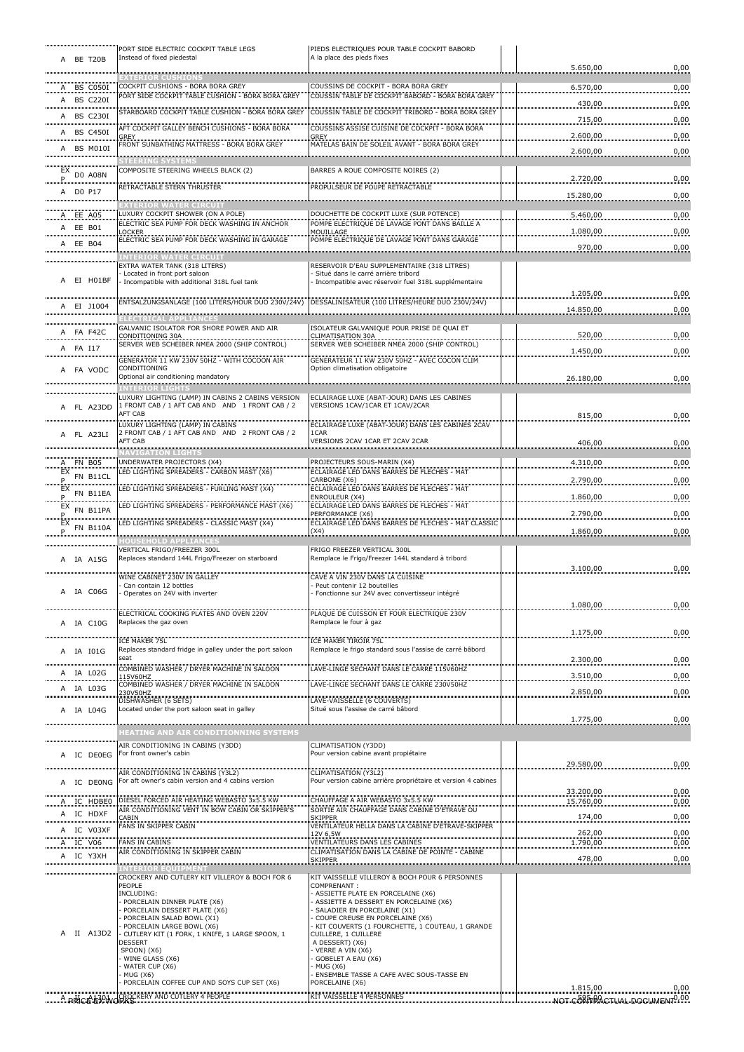|    | A BE T20B              | PORT SIDE ELECTRIC COCKPIT TABLE LEGS<br>Instead of fixed piedestal                                  | PIEDS ELECTRIQUES POUR TABLE COCKPIT BABORD<br>A la place des pieds fixes                   |                                          |              |
|----|------------------------|------------------------------------------------------------------------------------------------------|---------------------------------------------------------------------------------------------|------------------------------------------|--------------|
|    |                        |                                                                                                      |                                                                                             | 5.650,00                                 | 0,00         |
|    | A BS C050I             | <b>EXTERIOR CUSHIONS</b><br>COCKPIT CUSHIONS - BORA BORA GREY                                        | COUSSINS DE COCKPIT - BORA BORA GREY                                                        | 6.570,00                                 | 0,00         |
|    | A BS C220I             | PORT SIDE COCKPIT TABLE CUSHION - BORA BORA GREY                                                     | COUSSIN TABLE DE COCKPIT BABORD - BORA BORA GREY                                            |                                          |              |
|    | A BS C230I             | STARBOARD COCKPIT TABLE CUSHION - BORA BORA GREY                                                     | COUSSIN TABLE DE COCKPIT TRIBORD - BORA BORA GREY                                           | 430,00                                   | 0,00         |
|    |                        | AFT COCKPIT GALLEY BENCH CUSHIONS - BORA BORA                                                        | COUSSINS ASSISE CUISINE DE COCKPIT - BORA BORA                                              | 715,00                                   | 0,00         |
|    | A BS C450I<br>         | GREY<br>FRONT SUNBATHING MATTRESS - BORA BORA GREY                                                   | GREY<br>MATELAS BAIN DE SOLEIL AVANT - BORA BORA GREY                                       | 2.600,00                                 | 0,00         |
|    | A BS M010I             |                                                                                                      |                                                                                             | 2.600,00                                 | 0,00         |
|    |                        | <b>STEERING SYSTEMS</b><br>COMPOSITE STEERING WHEELS BLACK (2)                                       | BARRES A ROUE COMPOSITE NOIRES (2)                                                          |                                          |              |
|    | $EX$ DO A08N           |                                                                                                      |                                                                                             | 2.720,00                                 | 0,00         |
|    | A DO P17               | RETRACTABLE STERN THRUSTER                                                                           | PROPULSEUR DE POUPE RETRACTABLE                                                             | 15.280,00                                | 0,00         |
|    |                        | <b>XTERIOR WATER CIRCUIT</b><br>LUXURY COCKPIT SHOWER (ON A POLE)                                    | DOUCHETTE DE COCKPIT LUXE (SUR POTENCE)                                                     |                                          |              |
|    | A EE A05<br>A EE B01   | ELECTRIC SEA PUMP FOR DECK WASHING IN ANCHOR                                                         | POMPE ELECTRIQUE DE LAVAGE PONT DANS BAILLE A                                               | 5.460,00                                 | 0,00         |
|    |                        | <b>OCKER</b><br>ELECTRIC SEA PUMP FOR DECK WASHING IN GARAGE                                         | MOUILLAGE<br>POMPE ELECTRIQUE DE LAVAGE PONT DANS GARAGE                                    | 1.080,00                                 | 0,00         |
|    | A EE B04               | <b>INTERIOR WATER CIRCUIT</b>                                                                        |                                                                                             | 970,00                                   | 0,00         |
|    |                        | EXTRA WATER TANK (318 LITERS)                                                                        | RESERVOIR D'EAU SUPPLEMENTAIRE (318 LITRES)                                                 |                                          |              |
|    | A EI HO1BF             | Located in front port saloon<br>Incompatible with additional 318L fuel tank                          | Situé dans le carré arrière tribord<br>Incompatible avec réservoir fuel 318L supplémentaire |                                          |              |
|    |                        |                                                                                                      |                                                                                             | 1.205,00                                 | 0,00         |
|    | A EI J1004             | ENTSALZUNGSANLAGE (100 LITERS/HOUR DUO 230V/24V)                                                     | DESSALINISATEUR (100 LITRES/HEURE DUO 230V/24V)                                             | 14.850,00                                | 0,00         |
|    |                        | <b>ELECTRICAL APPLIANCES</b>                                                                         |                                                                                             |                                          |              |
|    | A FA F42C              | GALVANIC ISOLATOR FOR SHORE POWER AND AIR<br>CONDITIONING 30A                                        | ISOLATEUR GALVANIOUE POUR PRISE DE OUAI ET<br>CLIMATISATION 30A                             | 520,00                                   | 0,00         |
|    | A FA I17               | SERVER WEB SCHEIBER NMEA 2000 (SHIP CONTROL)                                                         | SERVER WEB SCHEIBER NMEA 2000 (SHIP CONTROL)                                                | 1.450,00                                 | 0,00         |
|    |                        | GENERATOR 11 KW 230V 50HZ - WITH COCOON AIR<br>CONDITIONING                                          | GENERATEUR 11 KW 230V 50HZ - AVEC COCON CLIM                                                |                                          |              |
|    | A FA VODC              | Optional air conditioning mandatory                                                                  | Option climatisation obligatoire                                                            | 26.180,00                                | 0,00         |
|    |                        | <b>INTERIOR LIGHTS</b>                                                                               |                                                                                             |                                          |              |
|    | A FL A23DD             | LUXURY LIGHTING (LAMP) IN CABINS 2 CABINS VERSION<br>1 FRONT CAB / 1 AFT CAB AND AND 1 FRONT CAB / 2 | ECLAIRAGE LUXE (ABAT-JOUR) DANS LES CABINES<br>VERSIONS 1CAV/1CAR ET 1CAV/2CAR              |                                          |              |
|    |                        | AFT CAB                                                                                              |                                                                                             | 815,00                                   | 0,00         |
|    | A FL A23LI             | UXURY LIGHTING (LAMP) IN CABINS<br>2 FRONT CAB / 1 AFT CAB AND AND 2 FRONT CAB / 2                   | ECLAIRAGE LUXE (ABAT-JOUR) DANS LES CABINES 2CAV<br>1CAR                                    |                                          |              |
|    |                        | AFT CAB                                                                                              | VERSIONS 2CAV 1CAR ET 2CAV 2CAR                                                             | 406,00                                   | 0,00         |
|    | A FN B05               | <b>NAVIGATION LIGHTS</b><br>UNDERWATER PROJECTORS (X4)                                               | PROJECTEURS SOUS-MARIN (X4)                                                                 | 4.310,00                                 | 0,00         |
|    | $EX$ FN B11CL          | LED LIGHTING SPREADERS - CARBON MAST (X6)                                                            | ECLAIRAGE LED DANS BARRES DE FLECHES - MAT                                                  |                                          |              |
|    | .<br>$EX$ FN B11EA     | LED LIGHTING SPREADERS - FURLING MAST (X4)                                                           | CARBONE (X6)<br>ECLAIRAGE LED DANS BARRES DE FLECHES - MAT                                  | 2.790,00                                 | 0,00         |
| EX |                        | LED LIGHTING SPREADERS - PERFORMANCE MAST (X6)                                                       | ENROULEUR (X4)<br>ECLAIRAGE LED DANS BARRES DE FLECHES - MAT                                | 1.860,00                                 | 0,00         |
|    | FN B11PA               |                                                                                                      | PERFORMANCE (X6)                                                                            | 2.790,00                                 | 0,00         |
|    | $EX$ FN B110A          | LED LIGHTING SPREADERS - CLASSIC MAST (X4)                                                           | ECLAIRAGE LED DANS BARRES DE FLECHES - MAT CLASSIC<br>(X4)                                  | 1.860,00                                 | 0,00         |
|    |                        | <b>OUSEHOLD APPLIANCES</b>                                                                           |                                                                                             |                                          |              |
|    | A IA A15G              | VERTICAL FRIGO/FREEZER 300L<br>Replaces standard 144L Frigo/Freezer on starboard                     | FRIGO FREEZER VERTICAL 300L<br>Remplace le Frigo/Freezer 144L standard à tribord            |                                          |              |
|    |                        |                                                                                                      |                                                                                             | 3.100,00                                 | 0,00         |
|    |                        | WINE CABINET 230V IN GALLEY<br>Can contain 12 bottles                                                | CAVE A VIN 230V DANS LA CUISINE<br>Peut contenir 12 bouteilles                              |                                          |              |
|    | A IA C06G              | Operates on 24V with inverter                                                                        | Fonctionne sur 24V avec convertisseur intégré                                               | 1.080,00                                 | 0,00         |
|    |                        | ELECTRICAL COOKING PLATES AND OVEN 220V                                                              | PLAQUE DE CUISSON ET FOUR ELECTRIQUE 230V                                                   |                                          |              |
| A  | IA C10G                | Replaces the gaz oven                                                                                | Remplace le four à gaz                                                                      | 1.175,00                                 |              |
|    |                        | <b>ICE MAKER 75L</b>                                                                                 | <b>ICE MAKER TIROIR 75L</b>                                                                 |                                          | 0,00         |
| A  | IA 101G                | Replaces standard fridge in galley under the port saloon<br>seat                                     | Remplace le frigo standard sous l'assise de carré bâbord                                    | 2.300,00                                 | 0,00         |
| A  | IA LO2G                | COMBINED WASHER / DRYER MACHINE IN SALOON                                                            | LAVE-LINGE SECHANT DANS LE CARRE 115V60HZ                                                   |                                          |              |
| Α  | IA L03G                | 115V60HZ<br>COMBINED WASHER / DRYER MACHINE IN SALOON                                                | LAVE-LINGE SECHANT DANS LE CARRE 230V50HZ                                                   | 3.510,00                                 | 0,00         |
|    |                        | 230V50HZ<br>DISHWASHER (6 SETS)                                                                      | LAVE-VAISSELLE (6 COUVERTS)                                                                 | 2.850,00                                 | 0,00         |
|    | A IA L04G              | Located under the port saloon seat in galley                                                         | Situé sous l'assise de carré bâbord                                                         |                                          |              |
|    |                        |                                                                                                      |                                                                                             | 1.775,00                                 | 0,00         |
|    |                        | HEATING AND AIR CONDITIONNING SYSTEMS                                                                |                                                                                             |                                          |              |
|    | A IC DE0EG             | AIR CONDITIONING IN CABINS (Y3DD)<br>For front owner's cabin                                         | CLIMATISATION (Y3DD)<br>Pour version cabine avant propiétaire                               |                                          |              |
|    |                        | AIR CONDITIONING IN CABINS (Y3L2)                                                                    | <b>CLIMATISATION (Y3L2)</b>                                                                 | 29.580,00                                | 0,00         |
|    | A IC DE0NG             | For aft owner's cabin version and 4 cabins version                                                   | Pour version cabine arrière propriétaire et version 4 cabines                               |                                          |              |
|    | A IC HDBE0             | DIESEL FORCED AIR HEATING WEBASTO 3x5.5 KW                                                           | CHAUFFAGE A AIR WEBASTO 3x5.5 KW                                                            | 33.200,00<br>15.760,00                   | 0,00         |
|    | A IC HDXF              | AIR CONDITIONING VENT IN BOW CABIN OR SKIPPER'S                                                      | SORTIE AIR CHAUFFAGE DANS CABINE D'ETRAVE OU                                                |                                          | 0,00         |
|    |                        | CABIN<br>FANS IN SKIPPER CABIN                                                                       | SKIPPER<br>VENTILATEUR HELLA DANS LA CABINE D'ETRAVE-SKIPPER                                | 174,00                                   | 0,00         |
|    | A IC V03XF<br>A IC V06 | FANS IN CABINS                                                                                       | 12V 6,5W<br>VENTILATEURS DANS LES CABINES                                                   | 262,00<br>1.790,00                       | 0,00<br>0,00 |
|    | A IC Y3XH              | AIR CONDITIONING IN SKIPPER CABIN                                                                    | CLIMATISATION DANS LA CABINE DE POINTE - CABINE                                             |                                          |              |
|    |                        | <b>ENTERIOR EQUIPMENT</b>                                                                            | <b>SKIPPER</b>                                                                              | 478,00                                   | 0,00         |
|    |                        | CROCKERY AND CUTLERY KIT VILLEROY & BOCH FOR 6<br>PEOPLE                                             | KIT VAISSELLE VILLEROY & BOCH POUR 6 PERSONNES<br>COMPRENANT:                               |                                          |              |
|    |                        | INCLUDING:                                                                                           | ASSIETTE PLATE EN PORCELAINE (X6)                                                           |                                          |              |
|    |                        | PORCELAIN DINNER PLATE (X6)<br>PORCELAIN DESSERT PLATE (X6)                                          | ASSIETTE A DESSERT EN PORCELAINE (X6)<br>SALADIER EN PORCELAINE (X1)                        |                                          |              |
|    |                        | PORCELAIN SALAD BOWL (X1)<br>PORCELAIN LARGE BOWL (X6)                                               | COUPE CREUSE EN PORCELAINE (X6)<br>KIT COUVERTS (1 FOURCHETTE, 1 COUTEAU, 1 GRANDE          |                                          |              |
|    | II A13D2               | CUTLERY KIT (1 FORK, 1 KNIFE, 1 LARGE SPOON, 1                                                       | CUILLERE, 1 CUILLERE                                                                        |                                          |              |
|    |                        | DESSERT<br>SPOON) (X6)                                                                               | A DESSERT) (X6)<br>VERRE A VIN (X6)                                                         |                                          |              |
|    |                        | WINE GLASS (X6)<br>WATER CUP (X6)                                                                    | GOBELET A EAU (X6)<br>· MUG (X6)                                                            |                                          |              |
|    |                        | MUG (X6)<br>PORCELAIN COFFEE CUP AND SOYS CUP SET (X6)                                               | ENSEMBLE TASSE A CAFE AVEC SOUS-TASSE EN<br>PORCELAINE (X6)                                 |                                          |              |
|    |                        |                                                                                                      | KIT VAISSELLE 4 PERSONNES                                                                   | 1.815,00                                 | 0,00         |
|    |                        | A PHIC A 130 WORKS KERY AND CUTLERY 4 PEOPLE                                                         |                                                                                             | NOT CORPRACTUAL DOCUMENT <sup>0,00</sup> |              |